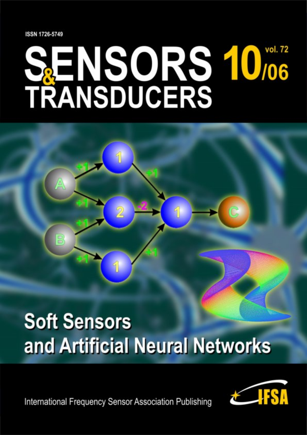**ISSN 1726-5749** 

B

# **SENSORS 10/06<br>TRANSDUCERS**

## **Soft Sensors** and Artificial Neural Networks

**International Frequency Sensor Association Publishing** 

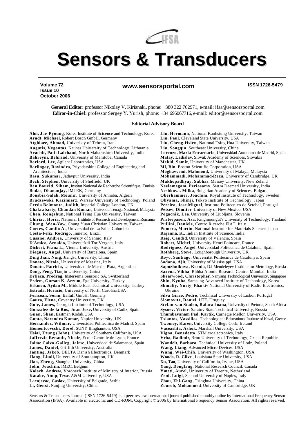

### **Sensors & Transducers**

 **www.sensorsportal.com ISSN 1726-5479**

**Volume 72 Issue 10 October 2006**

> **General Editor:** professor Nikolay V. Kirianaki, phone: +380 322 762971, e-mail: ifsa@sensorsportal.com **Ediror-in-Chief:** professor Sergey Y. Yurish, phone: +34 696067716, e-mail: editor@sensorsportal.com

#### **Editorial Advisory Board**

**Ahn, Jae -Pyoung**, Korea Institute of Scicence and Technology, Korea **Arndt, Michael,** Robert Bosch GmbH, Germany **Atghiaee, Ahmad,** Univeristy of Tehran, Iran **Augutis, Vygantas**, Kaunas University of Technology, Lithuania **Avachit, Patil Lalchand**, North Maharashtra University, India **Bahreyni, Behraad,** University of Manitoba, Canada **Barford, Lee,** Agilent Laboratories, USA **Barlingay, Ravindra,** Priyadarshini College of Engineering and Architecture, India **Basu, Sukumar,** Jadavpur University, India **Beck, Stephen,** University of Sheffield, UK **Ben Bouzid, Sihem,** Institut National de Recherche Scientifique, Tunisia **Bodas, Dhananjay,** IMTEK, Germany **Bousbia-Salah, Mounir,** University of Annaba, Algeria **Brudzewski, Kazimierz,** Warsaw University of Technology, Poland **Cerda Belmonte, Judith,** Imperial College London, UK **Chakrabarty, Chandan Kumar,** Universiti Tenaga Nasional, Malaysia **Chen, Rongshun,** National Tsing Hua University, Taiwan **Chiriac, Horia,** National Institute of Research and Development, Romania **Chung, Wen-Yaw,** Chung Yuan Christian University, Taiwan **Cortes, Camilo A.**, Universidad de La Salle, Colombia **Costa-Felix, Rodrigo,** Inmetro, Brazil **Cusano, Andrea,** University of Sannio, Italy **D'Amico, Arnaldo,** Università di Tor Vergata, Italy **Dickert, Franz L.,** Vienna University, Austria **Dieguez, Angel,** University of Barcelona, Spain **Ding Jian, Ning,** Jiangsu University, China **Donato, Nicola,** University of Messina, Italy **Donato, Patricio,** Universidad de Mar del Plata, Argentina **Dong, Feng,** Tianjin University, China **Drljaca, Predrag,** Instersema Sensoric SA, Switzerland **Erdem, Gursan K. Arzum,** Ege University, Turkey **Erkmen, Aydan M.,** Middle East Technical University, Turkey **Estrada, Horacio,** University of North Carolina,USA **Fericean, Sorin**, Balluff GmbH, Germany **Gaura, Elena,** Coventry University, UK **Gole, James,** Georgia Institute of Technology, USA **Gonzalez de la Ros, Juan Jose,** University of Cadiz, Spain **Guan, Shan,** Eastman Kodak,USA **Gupta, Narendra Kumar,** Napier University, UK **Hernandez, Wilmar,** Universidad Politecnica de Madrid, Spain **Homentcovschi, Dorel**, SUNY Binghamton, USA **Hsiai, Tzung (John),** University of Southern California, USA **Jaffrezic-Renault, Nicole,** Ecole Centrale de Lyon, France **Jaime Calvo -Galleg, Jaime,** Universidad de Salamanca, Spain **James, Daniel,** Griffith University, Australia **Janting, Jakob,** DELTA Danish Electronics, Denmark **Jiang, Liudi,** University of Southampton, UK **Jiao, Zheng,** Shanghai University, China **John, Joachim,** IMEC, Belgium **Kalach, Andrew,** Voronezh Institute of Ministry of Interior, Russia **Katake, Anup**, Texas A&M University, USA **Lacnjevac, Caslav,** University of Belgrade, Serbia **Li, Genxi,** Nanjing University, China **Lin, Hermann**, National Kaohsiung University, Taiwan

**Lin, Paul**, Cleveland State University, USA **Liu, Cheng-Hsien**, National Tsing Hua University, Taiwan **Liu, Songqin**, Southeast University, China **Lorenzo, Maria Encarnacio**, Universidad Autonoma de Madrid, Spain **Matay, Ladislav**, Slovak Academy of Sciences, Slovakia **Mekid, Samir**, University of Manchester, UK **Mi, Bin**, Boston Scientific Corporation, USA **Moghavvemi, Mahmoud,** University of Malaya, Malaysia **Mohammadi, Mohammad-Reza**, University of Cambridge, UK **Mukhopadhyay, Subhas**, Massey University, New Zeland **Neelamegam, Periasamy**, Sastra Deemed University, India **Neshkova, Milka**, Bulgarian Academy of Sciences, Bulgaria **Oberhammer, Joachim**, Royal Institute of Technology, Sweden **Ohyama, Shinji,** Tokyo Institute of Technology, Japan **Pereira, Jose Miguel**, Instituto Politecnico de Setebal, Portugal **Petsev, Dimiter**, University of New Mexico, USA **Pogacnik, Lea**, University of Ljubljana, Slovenia **Prateepasen, Asa**, Kingmoungut's University of Technology, Thailand **Pullini, Daniele**, Centro Ricerche FIAT, Italy **Pumera, Martin**, National Institute for Materials Science, Japan **Rajanna, K.,** Indian Institute of Science, India **Reig, Candid**, University of Valencia, Spain **Robert, Michel**, University Henri Poincare, France **Rodriguez, Angel**, Universidad Politecnica de Cataluna, Spain **Rothberg, Steve** , Loughborough University, UK **Royo, Santiago**, Universitat Politecnica de Catalunya, Spain **Sadana, Ajit**, University of Mississippi, USA **Sapozhnikova, Ksenia**, D.I.Mendeleyev Institute for Metrology, Russia **Saxena, Vibha**, Bhbha Atomic Research Centre, Mumbai, India **Shearwood, Christopher**, Nanyang Technological University, Singapore **Shin, Kyuho**, Samsung Advanced Institute of Technology, Korea **Shmaliy, Yuriy**, Kharkiv National University of Radio Electronics, Ukraine **Silva Girao, Pedro**, Technical University of Lisbon Portugal **Slomovitz, Daniel**, UTE, Uruguay **Stefan-van Staden, Raluca-Ioana**, University of Pretoria, South Africa **Sysoev, Victor**, Saratov State Technical University, Russia **Thumbavanam Pad, Kartik**, Carnegie Mellon University, USA **Tsiantos, Vassilios**, Technological Educational Institute of Kaval, Greece **Twomey, Karen,** University College Cork, Ireland **Vaseashta, Ashok**, Marshall University, USA **Vigna, Benedetto**, STMicroelectronics, Italy **Vrba, Radimir**, Brno University of Technology, Czech Republic **Wandelt, Barbara**, Technical University of Lodz, Poland **Wang, Liang**, Advanced Micro Devices, USA **Wang, Wei-Chih**, University of Washington, USA **Woods, R. Clive** , Louisiana State University, USA **Xu, Tao**, University of California, Irvine, USA **Yang, Dongfang**, National Research Council, Canada **Ymeti, Aurel**, University of Twente, Netherland **Zeni, Luigi**, Second University of Naples, Italy **Zhou, Zhi-Gang**, Tsinghua University, China **Zourob, Mohammed**, University of Cambridge, UK

Sensors & Transducers Journal (ISSN 1726-5479) is a peer review international journal published monthly online by International Frequency Sensor Association (IFSA). Available in electronic and CD-ROM. Copyright © 2006 by International Frequency Sensor Association. All rights reserved.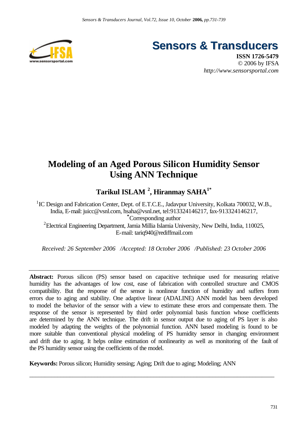

**Sensors & Transducers**

**ISSN 1726-5479** © 2006 by IFSA *http://www.sensorsportal.com*

#### **Modeling of an Aged Porous Silicon Humidity Sensor Using ANN Technique**

**Tarikul ISLAM <sup>2</sup> , Hiranmay SAHA1\***

<sup>1</sup>IC Design and Fabrication Center, Dept. of E.T.C.E., Jadavpur University, Kolkata 700032, W.B., India, E-mail: juicc@vsnl.com, hsaha@vsnl.net, tel:913324146217, fax-913324146217, **\***Corresponding author <sup>2</sup>Electrical Engineering Department, Jamia Millia Islamia University, New Delhi, India, 110025, E-mail: tariq940@rediffmail.com

*Received: 26 September 2006 /Accepted: 18 October 2006 /Published: 23 October 2006*

**Abstract:** Porous silicon (PS) sensor based on capacitive technique used for measuring relative humidity has the advantages of low cost, ease of fabrication with controlled structure and CMOS compatibility. But the response of the sensor is nonlinear function of humidity and suffers from errors due to aging and stability. One adaptive linear (ADALINE) ANN model has been developed to model the behavior of the sensor with a view to estimate these errors and compensate them. The response of the sensor is represented by third order polynomial basis function whose coefficients are determined by the ANN technique. The drift in sensor output due to aging of PS layer is also modeled by adapting the weights of the polynomial function. ANN based modeling is found to be more suitable than conventional physical modeling of PS humidity sensor in changing environment and drift due to aging. It helps online estimation of nonlinearity as well as monitoring of the fault of the PS humidity sensor using the coefficients of the model.

\_\_\_\_\_\_\_\_\_\_\_\_\_\_\_\_\_\_\_\_\_\_\_\_\_\_\_\_\_\_\_\_\_\_\_\_\_\_\_\_\_\_\_\_\_\_\_\_\_\_\_\_\_\_\_\_\_\_\_\_\_\_\_\_\_\_\_\_\_\_\_\_\_\_\_\_\_\_\_

**Keywords:** Porous silicon; Humidity sensing; Aging; Drift due to aging; Modeling; ANN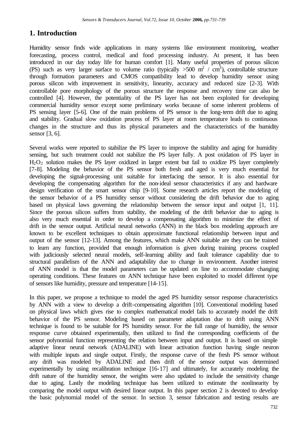#### **1. Introduction**

Humidity sensor finds wide applications in many systems like environment monitoring, weather forecasting, process control, medical and food processing industry. At present, it has been introduced in our day today life for human comfort [1]. Many useful properties of porous silicon (PS) such as very larger surface to volume ratio (typically  $>500 \text{ m}^2 / \text{ cm}^3$ ), controllable structure through formation parameters and CMOS compatibility lead to develop humidity sensor using porous silicon with improvement in sensitivity, linearity, accuracy and reduced size [2-3]. With controllable pore morphology of the porous structure the response and recovery time can also be controlled [4]. However, the potentiality of the PS layer has not been exploited for developing commercial humidity sensor except some preliminary works because of some inherent problems of PS sensing layer [5-6]. One of the main problems of PS sensor is the long-term drift due to aging and stability. Gradual slow oxidation process of PS layer at room temperature leads to continuous changes in the structure and thus its physical parameters and the characteristics of the humidity sensor [3, 6].

Several works were reported to stabilize the PS layer to improve the stability and aging for humidity sensing, but such treatment could not stabilize the PS layer fully. A post oxidation of PS layer in  $H_2O_2$  solution makes the PS layer oxidized in larger extent but fail to oxidize PS layer completely [7-8]. Modeling the behavior of the PS sensor both fresh and aged is very much essential for developing the signal-processing unit suitable for interfacing the sensor. It is also essential for developing the compensating algorithm for the non-ideal sensor characteristics if any and hardware design verification of the smart sensor chip [9-10]. Some research articles report the modeling of the sensor behavior of a PS humidity sensor without considering the drift behavior due to aging based on physical laws governing the relationship between the sensor input and output [1, 11]. Since the porous silicon suffers from stability, the modeling of the drift behavior due to aging is also very much essential in order to develop a compensating algorithm to minimize the effect of drift in the sensor output. Artificial neural networks (ANN) in the black box modeling approach are known to be excellent techniques to obtain approximate functional relationship between input and output of the sensor [12-13]. Among the features, which make ANN suitable are they can be trained to learn any function, provided that enough information is given during training process coupled with judiciously selected neural models, self-learning ability and fault tolerance capability due to structural parallelism of the ANN and adaptability due to change in environment. Another interest of ANN model is that the model parameters can be updated on line to accommodate changing operating conditions. These features on ANN technique have been exploited to model different type of sensors like humidity, pressure and temperature [14-15].

In this paper, we propose a technique to model the aged PS humidity sensor response characteristics by ANN with a view to develop a drift-compensating algorithm [10]. Conventional modeling based on physical laws which gives rise to complex mathematical model fails to accurately model the drift behavior of the PS sensor. Modeling based on parameter adaptation due to drift using ANN technique is found to be suitable for PS humidity sensor. For the full range of humidity, the sensor response curve obtained experimentally, then utilized to find the corresponding coefficients of the sensor polynomial function representing the relation between input and output. It is based on simple adaptive linear neural network (ADALINE) with linear activation function having single neuron with multiple inputs and single output. Firstly, the response curve of the fresh PS sensor without any drift was modeled by ADALINE and then drift of the sensor output was determined experimentally by using recalibration technique [16-17] and ultimately, for accurately modeling the drift nature of the humidity sensor, the weights were also updated to include the sensitivity change due to aging. Lastly the modeling technique has been utilized to estimate the nonlinearity by comparing the model output with desired linear output. In this paper section 2 is devoted to develop the basic polynomial model of the sensor. In section 3, sensor fabrication and testing results are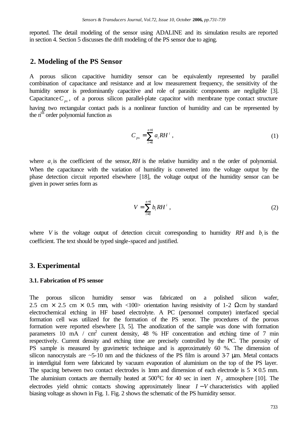reported. The detail modeling of the sensor using ADALINE and its simulation results are reported in section 4. Section 5 discusses the drift modeling of the PS sensor due to aging.

#### **2. Modeling of the PS Sensor**

A porous silicon capacitive humidity sensor can be equivalently represented by parallel combination of capacitance and resistance and at low measurement frequency, the sensitivity of the humidity sensor is predominantly capacitive and role of parasitic components are negligible [3]. Capacitance  $C_{ps}$ , of a porous silicon parallel-plate capacitor with membrane type contact structure having two rectangular contact pads is a nonlinear function of humidity and can be represented by the n<sup>th</sup> order polynomial function as

$$
C_{ps} = \sum_{i=0}^{n+1} a_i R H^i , \qquad (1)
$$

where  $a_i$  is the coefficient of the sensor, RH is the relative humidity and n the order of polynomial. When the capacitance with the variation of humidity is converted into the voltage output by the phase detection circuit reported elsewhere [18], the voltage output of the humidity sensor can be given in power series form as

$$
V = \sum_{i=0}^{n+1} b_i R H^i , \qquad (2)
$$

where *V* is the voltage output of detection circuit corresponding to humidity *RH* and  $b_i$  is the coefficient. The text should be typed single-spaced and justified.

#### **3. Experimental**

#### **3.1. Fabrication of PS sensor**

The porous silicon humidity sensor was fabricated on a polished silicon wafer, 2.5 cm  $\times$  2.5 cm  $\times$  0.5 mm, with <100> orientation having resistivity of 1-2  $\Omega$ cm by standard electrochemical etching in HF based electrolyte. A PC (personnel computer) interfaced special formation cell was utilized for the formation of the PS senor. The procedures of the porous formation were reported elsewhere [3, 5]. The anodization of the sample was done with formation parameters 10 mA / cm<sup>2</sup> current density, 48 % HF concentration and etching time of 7 min respectively. Current density and etching time are precisely controlled by the PC. The porosity of PS sample is measured by gravimetric technique and is approximately 60 %. The dimension of silicon nanocrystals are  $\sim$  5-10 nm and the thickness of the PS film is around 3-7  $\mu$ m. Metal contacts in interdigital form were fabricated by vacuum evaporation of aluminium on the top of the PS layer. The spacing between two contact electrodes is 1mm and dimension of each electrode is  $5 \times 0.5$  mm. The aluminium contacts are thermally heated at  $500^{\circ}$ C for 40 sec in inert  $N_2$  atmosphere [10]. The electrodes yield ohmic contacts showing approximately linear *I* −*V* characteristics with applied biasing voltage as shown in Fig. 1. Fig. 2 shows the schematic of the PS humidity sensor.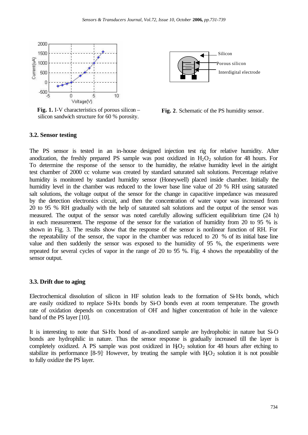

**Fig. 1.** I-V characteristics of porous silicon – silicon sandwich structure for 60 % porosity.



**Fig. 2**. Schematic of the PS humidity sensor.

#### **3.2. Sensor testing**

The PS sensor is tested in an in-house designed injection test rig for relative humidity. After anodization, the freshly prepared PS sample was post oxidized in  $H_2O_2$  solution for 48 hours. For To determine the response of the sensor to the humidity, the relative humidity level in the airtight test chamber of 2000 cc volume was created by standard saturated salt solutions. Percentage relative humidity is monitored by standard humidity sensor (Honeywell) placed inside chamber. Initially the humidity level in the chamber was reduced to the lower base line value of 20 % RH using saturated salt solutions, the voltage output of the sensor for the change in capacitive impedance was measured by the detection electronics circuit, and then the concentration of water vapor was increased from 20 to 95 % RH gradually with the help of saturated salt solutions and the output of the sensor was measured. The output of the sensor was noted carefully allowing sufficient equilibrium time (24 h) in each measurement. The response of the sensor for the variation of humidity from 20 to 95 % is shown in Fig. 3. The results show that the response of the sensor is nonlinear function of RH. For the repeatability of the sensor, the vapor in the chamber was reduced to 20 % of its initial base line value and then suddenly the sensor was exposed to the humidity of 95 %, the experiments were repeated for several cycles of vapor in the range of 20 to 95 %. Fig. 4 shows the repeatability of the sensor output.

#### **3.3. Drift due to aging**

Electrochemical dissolution of silicon in HF solution leads to the formation of Si-Hx bonds, which are easily oxidized to replace Si-Hx bonds by Si-O bonds even at room temperature. The growth rate of oxidation depends on concentration of OH-and higher concentration of hole in the valence band of the PS layer [10].

It is interesting to note that Si-Hx bond of as-anodized sample are hydrophobic in nature but Si-O bonds are hydrophilic in nature. Thus the sensor response is gradually increased till the layer is completely oxidized. A PS sample was post oxidized in  $H_2O_2$  solution for 48 hours after etching to stabilize its performance [8-9]. However, by treating the sample with  $H_2O_2$  solution it is not possible to fully oxidize the PS layer.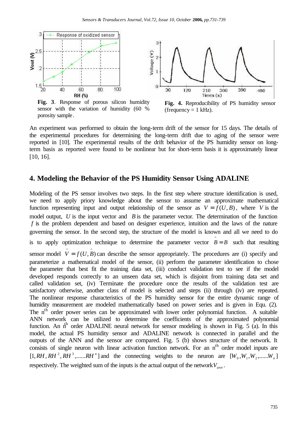

**Fig. 3**. Response of porous silicon humidity sensor with the variation of humidity (60 % porosity sample.

**Fig. 4.** Reproducibility of PS humidity sensor (frequency  $= 1$  kHz).

An experiment was performed to obtain the long-term drift of the sensor for 15 days. The details of the experimental procedures for determining the long-term drift due to aging of the sensor were reported in [10]. The experimental results of the drift behavior of the PS humidity sensor on longterm basis as reported were found to be nonlinear but for short-term basis it is approximately linear [10, 16].

#### **4. Modeling the Behavior of the PS Humidity Sensor Using ADALINE**

Modeling of the PS sensor involves two steps. In the first step where structure identification is used, we need to apply priory knowledge about the sensor to assume an approximate mathematical function representing input and output relationship of the sensor as  $V = f(U, B)$ , where *V* is the model output, *U* is the input vector and *B* is the parameter vector. The determination of the function *f* is the problem dependent and based on designer experience, intuition and the laws of the nature governing the sensor. In the second step, the structure of the model is known and all we need to do is to apply optimization technique to determine the parameter vector  $\hat{B} = B$  such that resulting sensor model  $\hat{V} = f(U, \hat{B})$  can describe the sensor appropriately. The procedures are (i) specify and parameterize a mathematical model of the sensor, (ii) perform the parameter identification to chose the parameter that best fit the training data set, (iii) conduct validation test to see if the model developed responds correctly to an unseen data set, which is disjoint from training data set and called validation set, (iv) Terminate the procedure once the results of the validation test are satisfactory otherwise, another class of model is selected and steps (ii) through (iv) are repeated. The nonlinear response characteristics of the PS humidity sensor for the entire dynamic range of humidity measurement are modeled mathematically based on power series and is given in Equ. (2). The n<sup>th</sup> order power series can be approximated with lower order polynomial function. A suitable ANN network can be utilized to determine the coefficients of the approximated polynomial function. An  $n<sup>th</sup>$  order ADALINE neural network for sensor modeling is shown in Fig. 5 (a). In this model, the actual PS humidity sensor and ADALINE network is connected in parallel and the outputs of the ANN and the sensor are compared. Fig. 5 (b) shows structure of the network. It consists of single neuron with linear activation function network. For an n<sup>th</sup> order model inputs are  $[1, RH, RH^2, RH^3, \ldots, RH^n]$  and the connecting weights to the neuron are  $[W_0, W_1, W_2, \ldots, W_n]$ respectively. The weighted sum of the inputs is the actual output of the network*Vann* .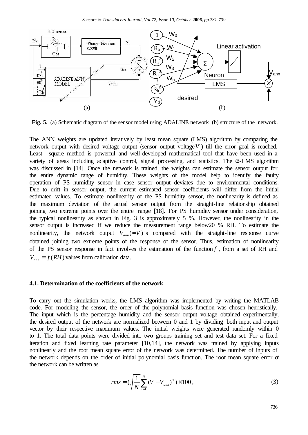

**Fig. 5.** (a) Schematic diagram of the sensor model using ADALINE network (b) structure of the network.

The ANN weights are updated iteratively by least mean square (LMS) algorithm by comparing the network output with desired voltage output (sensor output voltage*V* ) till the error goal is reached. Least –square method is powerful and well-developed mathematical tool that have been used in a variety of areas including adaptive control, signal processing, and statistics. The  $\alpha$ -LMS algorithm was discussed in [14]. Once the network is trained, the weights can estimate the sensor output for the entire dynamic range of humidity. These weights of the model help to identify the faulty operation of PS humidity sensor in case sensor output deviates due to environmental conditions. Due to drift in sensor output, the current estimated sensor coefficients will differ from the initial estimated values. To estimate nonlinearity of the PS humidity sensor, the nonlinearity is defined as the maximum deviation of the actual sensor output from the straight-line relationship obtained joining two extreme points over the entire range [18]. For PS humidity sensor under consideration, the typical nonlinearity as shown in Fig. 3 is approximately 5 %. However, the nonlinearity in the sensor output is increased if we reduce the measurement range below20 % RH. To estimate the nonlinearity, the network output  $V_{\text{ann}}(=V)$  is compared with the straight-line response curve obtained joining two extreme points of the response of the sensor. Thus, estimation of nonlinearity of the PS sensor response in fact involves the estimation of the function *f* , from a set of RH and  $V_{\text{ann}} = f(RH)$  values from calibration data.

#### **4.1. Determination of the coefficients of the network**

To carry out the simulation works, the LMS algorithm was implemented by writing the MATLAB code. For modeling the sensor, the order of the polynomial basis function was chosen heuristically. The input which is the percentage humidity and the sensor output voltage obtained experimentally, the desired output of the network are normalized between 0 and 1 by dividing both input and output vector by their respective maximum values. The initial weights were generated randomly within 0 to 1. The total data points were divided into two groups training set and test data set. For a fixed iteration and fixed learning rate parameter [10,14], the network was trained by applying inputs nonlinearly and the root mean square error of the network was determined. The number of inputs of the network depends on the order of initial polynomial basis function. The root mean square error of the network can be written as

$$
rms = (\sqrt{\frac{1}{N}} \sum_{i=1}^{N} (V - V_{ann})^2) \times 100,
$$
\n(3)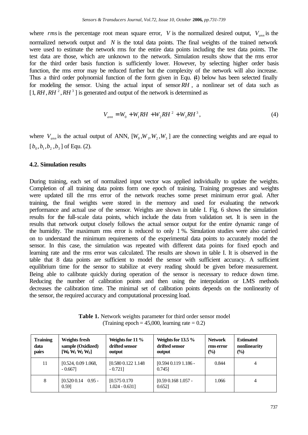where *rms* is the percentage root mean square error, *V* is the normalized desired output,  $V_{ann}$  is the normalized network output and *N* is the total data points. The final weights of the trained network were used to estimate the network rms for the entire data points including the test data points. The test data are those, which are unknown to the network. Simulation results show that the rms error for the third order basis function is sufficiently lower. However, by selecting higher order basis function, the rms error may be reduced further but the complexity of the network will also increase. Thus a third order polynomial function of the form given in Equ. (4) below has been selected finally for modeling the sensor. Using the actual input of sensor *RH* , a nonlinear set of data such as  $[1, RH, RH^2, RH^3]$  is generated and output of the network is determined as

$$
V_{ann} = W_0 + W_1 R H + W_2 R H^2 + W_3 R H^3,
$$
\n(4)

where  $V_{ann}$  is the actual output of ANN,  $[W_0, W_1, W_2, W_3]$  are the connecting weights and are equal to  $[b_0, b_1, b_2, b_3]$  of Equ. (2).

#### **4.2. Simulation results**

During training, each set of normalized input vector was applied individually to update the weights. Completion of all training data points form one epoch of training. Training progresses and weights were updated till the rms error of the network reaches some preset minimum error goal. After training, the final weights were stored in the memory and used for evaluating the network performance and actual use of the sensor. Weights are shown in table I. Fig. 6 shows the simulation results for the full-scale data points, which include the data from validation set. It is seen in the results that network output closely follows the actual sensor output for the entire dynamic range of the humidity. The maximum rms error is reduced to only 1 %. Simulation studies were also carried on to understand the minimum requirements of the experimental data points to accurately model the sensor. In this case, the simulation was repeated with different data points for fixed epoch and learning rate and the rms error was calculated. The results are shown in table I. It is observed in the table that 8 data points are sufficient to model the sensor with sufficient accuracy. A sufficient equilibrium time for the sensor to stabilize at every reading should be given before measurement. Being able to calibrate quickly during operation of the sensor is necessary to reduce down time. Reducing the number of calibration points and then using the interpolation or LMS methods decreases the calibration time. The minimal set of calibration points depends on the nonlinearity of the sensor, the required accuracy and computational processing load.

**Table 1.** Network weights parameter for third order sensor model (Training epoch  $= 45,000$ , learning rate  $= 0.2$ )

| <b>Training</b><br>data<br>pairs | Weights fresh<br>sample (Oxidized)<br>$[W_0 W_1 W_2 W_3]$ | Weights for $11\%$<br>drifted sensor<br>output | Weights for $13.5\%$<br>drifted sensor<br>output | <b>Network</b><br>rms error<br>$\frac{1}{2}$ | <b>Estimated</b><br>nonlinearity<br>$\frac{1}{2}$ |
|----------------------------------|-----------------------------------------------------------|------------------------------------------------|--------------------------------------------------|----------------------------------------------|---------------------------------------------------|
| 11                               | [0.524, 0.09, 1.068,<br>$-0.6671$                         | [0.580 0.122 1.148]<br>$-0.721$ ]              | $[0.594 0.119 1.186 -$<br>0.7451                 | 0.844                                        | 4                                                 |
| 8                                | $[0.520 0.14 0.95 -$<br>0.591                             | $[0.575\ 0.170]$<br>$1.024 - 0.631$            | $[0.59 \ 0.168 \ 1.057]$ -<br>0.6521             | 1.066                                        | 4                                                 |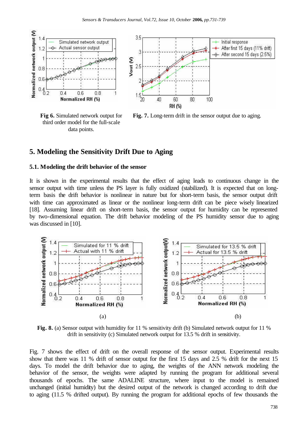

third order model for the full-scale data points.



**Fig 6.** Simulated network output for **Fig. 7.** Long-term drift in the sensor output due to aging.

#### **5. Modeling the Sensitivity Drift Due to Aging**

#### **5.1. Modeling the drift behavior of the sensor**

It is shown in the experimental results that the effect of aging leads to continuous change in the sensor output with time unless the PS layer is fully oxidized (stabilized). It is expected that on longterm basis the drift behavior is nonlinear in nature but for short-term basis, the sensor output drift with time can approximated as linear or the nonlinear long-term drift can be piece wisely linearized [18]. Assuming linear drift on short-term basis, the sensor output for humidity can be represented by two-dimensional equation. The drift behavior modeling of the PS humidity sensor due to aging was discussed in [10].



**Fig. 8.** (a) Sensor output with humidity for 11 % sensitivity drift (b) Simulated network output for 11 % drift in sensitivity (c) Simulated network output for 13.5 % drift in sensitivity.

Fig. 7 shows the effect of drift on the overall response of the sensor output. Experimental results show that there was 11 % drift of sensor output for the first 15 days and 2.5 % drift for the next 15 days. To model the drift behavior due to aging, the weights of the ANN network modeling the behavior of the sensor, the weights were adapted by running the program for additional several thousands of epochs. The same ADALINE structure, where input to the model is remained unchanged (initial humidity) but the desired output of the network is changed according to drift due to aging (11.5 % drifted output). By running the program for additional epochs of few thousands the